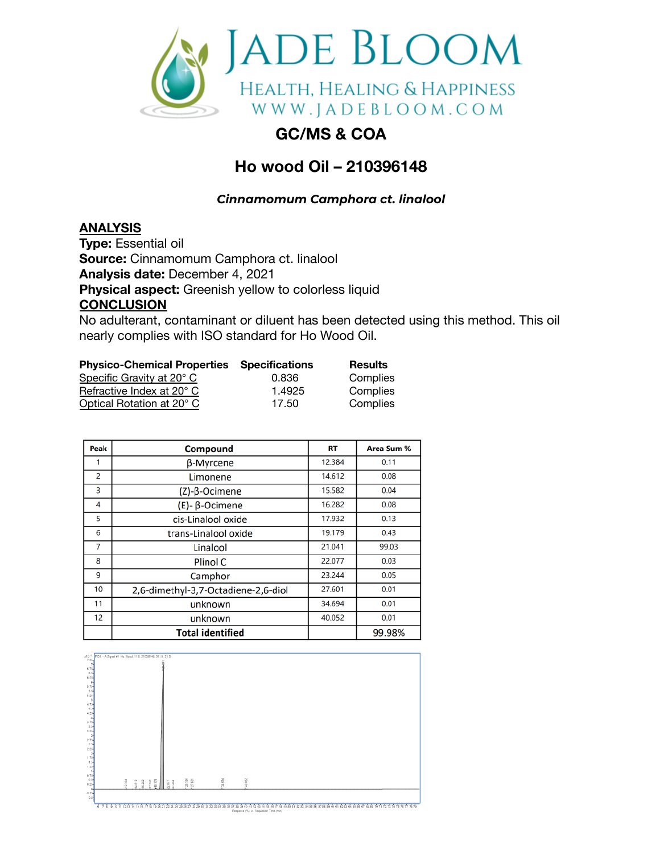

## **GC/MS & COA**

## **Ho wood Oil – 210396148**

*Cinnamomum Camphora ct. linalool*

## **ANALYSIS**

**Type:** Essential oil **Source:** Cinnamomum Camphora ct. linalool **Analysis date:** December 4, 2021 **Physical aspect:** Greenish yellow to colorless liquid **CONCLUSION**

No adulterant, contaminant or diluent has been detected using this method. This oil nearly complies with ISO standard for Ho Wood Oil.

| <b>Physico-Chemical Properties Specifications</b> |        | <b>Results</b> |
|---------------------------------------------------|--------|----------------|
| Specific Gravity at 20° C                         | 0.836  | Complies       |
| Refractive Index at 20° C                         | 1.4925 | Complies       |
| Optical Rotation at 20° C                         | 17.50  | Complies       |

| Peak           | Compound                            | RT     | Area Sum % |
|----------------|-------------------------------------|--------|------------|
|                | β-Myrcene                           | 12.384 | 0.11       |
| $\overline{2}$ | Limonene                            | 14.612 | 0.08       |
| 3              | (Z)-β-Ocimene                       | 15.582 | 0.04       |
| 4              | $(E)$ - $\beta$ -Ocimene            | 16.282 | 0.08       |
| 5              | cis-Linalool oxide                  | 17.932 | 0.13       |
| 6              | trans-Linalool oxide                | 19.179 | 0.43       |
| 7              | Linalool                            | 21.041 | 99.03      |
| 8              | Plinol C                            | 22.077 | 0.03       |
| 9              | Camphor                             | 23.244 | 0.05       |
| 10             | 2,6-dimethyl-3,7-Octadiene-2,6-diol | 27.601 | 0.01       |
| 11             | unknown                             | 34.694 | 0.01       |
| 12             | unknown                             | 40.052 | 0.01       |
|                | <b>Total identified</b>             |        | 99.98%     |